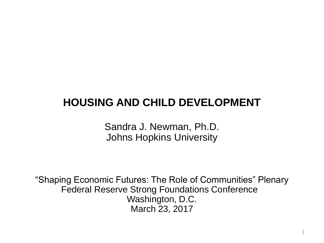# **HOUSING AND CHILD DEVELOPMENT**

Sandra J. Newman, Ph.D. Johns Hopkins University

"Shaping Economic Futures: The Role of Communities" Plenary Federal Reserve Strong Foundations Conference Washington, D.C. March 23, 2017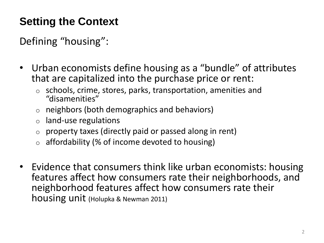# **Setting the Context**

Defining "housing":

- Urban economists define housing as a "bundle" of attributes that are capitalized into the purchase price or rent:
	- o schools, crime, stores, parks, transportation, amenities and "disamenities"
	- o neighbors (both demographics and behaviors)
	- o land-use regulations
	- o property taxes (directly paid or passed along in rent)
	- o affordability (% of income devoted to housing)
- Evidence that consumers think like urban economists: housing features affect how consumers rate their neighborhoods, and neighborhood features affect how consumers rate their housing unit (Holupka & Newman 2011)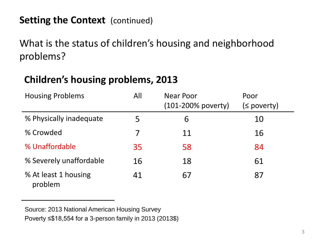What is the status of children's housing and neighborhood problems?

# **Children's housing problems, 2013**

| <b>Housing Problems</b>         | All | <b>Near Poor</b><br>$(101 - 200\%$ poverty) | Poor<br>(≤ poverty) |
|---------------------------------|-----|---------------------------------------------|---------------------|
| % Physically inadequate         | 5   | 6                                           | 10                  |
| % Crowded                       |     | 11                                          | 16                  |
| % Unaffordable                  | 35  | 58                                          | 84                  |
| % Severely unaffordable         | 16  | 18                                          | 61                  |
| % At least 1 housing<br>problem | 41  | 67                                          | 87                  |

Source: 2013 National American Housing Survey Poverty ≤\$18,554 for a 3-person family in 2013 (2013\$)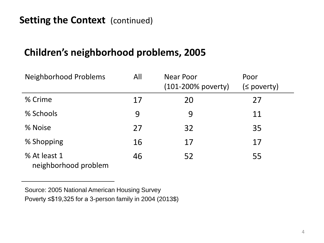## **Children's neighborhood problems, 2005**

| Neighborhood Problems                | All | Near Poor<br>(101-200% poverty) | Poor<br>$(s$ poverty) |
|--------------------------------------|-----|---------------------------------|-----------------------|
| % Crime                              | 17  | 20                              | 27                    |
| % Schools                            | 9   | 9                               | 11                    |
| % Noise                              | 27  | 32                              | 35                    |
| % Shopping                           | 16  | 17                              | 17                    |
| % At least 1<br>neighborhood problem | 46  | 52                              | 55                    |

Source: 2005 National American Housing Survey Poverty ≤\$19,325 for a 3-person family in 2004 (2013\$)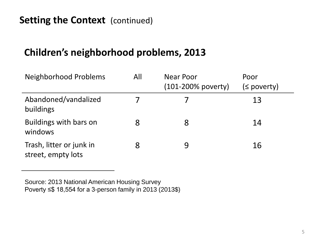## **Children's neighborhood problems, 2013**

| <b>Neighborhood Problems</b>                   | All | Near Poor<br>$(101 - 200\%$ poverty) | Poor<br>$(powerv)$ |
|------------------------------------------------|-----|--------------------------------------|--------------------|
| Abandoned/vandalized<br>buildings              |     |                                      | 13                 |
| Buildings with bars on<br>windows              | 8   | 8                                    | 14                 |
| Trash, litter or junk in<br>street, empty lots |     | 9                                    | 16                 |

Source: 2013 National American Housing Survey Poverty ≤\$ 18,554 for a 3-person family in 2013 (2013\$)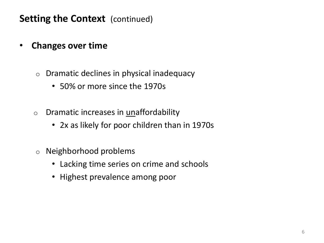- **Changes over time** 
	- o Dramatic declines in physical inadequacy
		- 50% or more since the 1970s
	- o Dramatic increases in unaffordability
		- 2x as likely for poor children than in 1970s
	- o Neighborhood problems
		- Lacking time series on crime and schools
		- Highest prevalence among poor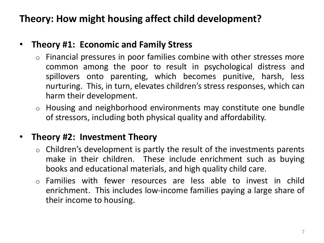# **Theory: How might housing affect child development?**

#### • **Theory #1: Economic and Family Stress**

- o Financial pressures in poor families combine with other stresses more common among the poor to result in psychological distress and spillovers onto parenting, which becomes punitive, harsh, less nurturing. This, in turn, elevates children's stress responses, which can harm their development.
- o Housing and neighborhood environments may constitute one bundle of stressors, including both physical quality and affordability.

#### • **Theory #2: Investment Theory**

- $\circ$  Children's development is partly the result of the investments parents make in their children. These include enrichment such as buying books and educational materials, and high quality child care.
- o Families with fewer resources are less able to invest in child enrichment. This includes low-income families paying a large share of their income to housing.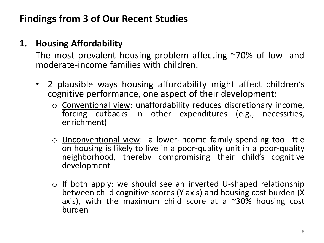# **Findings from 3 of Our Recent Studies**

#### **1. Housing Affordability**

The most prevalent housing problem affecting ~70% of low- and moderate-income families with children.

- 2 plausible ways housing affordability might affect children's cognitive performance, one aspect of their development:
	- o Conventional view: unaffordability reduces discretionary income, forcing cutbacks in other expenditures (e.g., necessities, enrichment)
	- o Unconventional view: a lower-income family spending too little on housing is likely to live in a poor-quality unit in a poor-quality neighborhood, thereby compromising their child's cognitive development
	- o If both apply: we should see an inverted U-shaped relationship between child cognitive scores (Y axis) and housing cost burden (X axis), with the maximum child score at a  $\approx$ 30% housing cost burden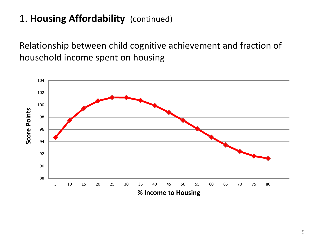# 1. **Housing Affordability** (continued)

Relationship between child cognitive achievement and fraction of household income spent on housing

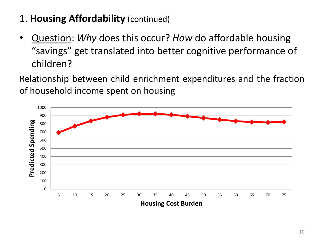# 1. **Housing Affordability** (continued)

• Question: *Why* does this occur? *How* do affordable housing "savings" get translated into better cognitive performance of children?

Relationship between child enrichment expenditures and the fraction of household income spent on housing

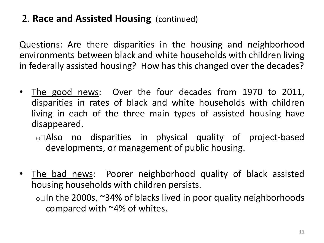# 2. **Race and Assisted Housing** (continued)

Questions: Are there disparities in the housing and neighborhood environments between black and white households with children living in federally assisted housing? How has this changed over the decades?

- The good news: Over the four decades from 1970 to 2011, disparities in rates of black and white households with children living in each of the three main types of assisted housing have disappeared.
	- o Also no disparities in physical quality of project-based developments, or management of public housing.
- The bad news: Poorer neighborhood quality of black assisted housing households with children persists.
	- $\circ$  In the 2000s,  $\sim$ 34% of blacks lived in poor quality neighborhoods compared with ~4% of whites.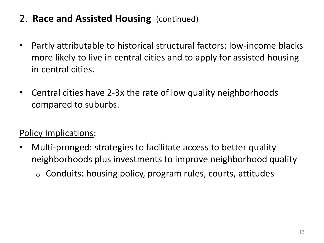# 2. **Race and Assisted Housing** (continued)

- Partly attributable to historical structural factors: low-income blacks more likely to live in central cities and to apply for assisted housing in central cities.
- Central cities have 2-3x the rate of low quality neighborhoods compared to suburbs.

## Policy Implications:

- Multi-pronged: strategies to facilitate access to better quality neighborhoods plus investments to improve neighborhood quality
	- $\circ$  Conduits: housing policy, program rules, courts, attitudes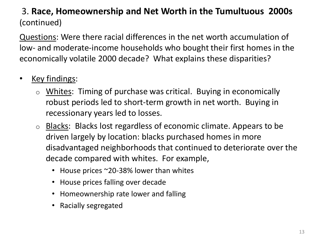#### 3. **Race, Homeownership and Net Worth in the Tumultuous 2000s**  (continued)

Questions: Were there racial differences in the net worth accumulation of low- and moderate-income households who bought their first homes in the economically volatile 2000 decade? What explains these disparities?

- Key findings:
	- o Whites: Timing of purchase was critical. Buying in economically robust periods led to short-term growth in net worth. Buying in recessionary years led to losses.
	- o Blacks: Blacks lost regardless of economic climate. Appears to be driven largely by location: blacks purchased homes in more disadvantaged neighborhoods that continued to deteriorate over the decade compared with whites. For example,
		- House prices ~20-38% lower than whites
		- House prices falling over decade
		- Homeownership rate lower and falling
		- Racially segregated